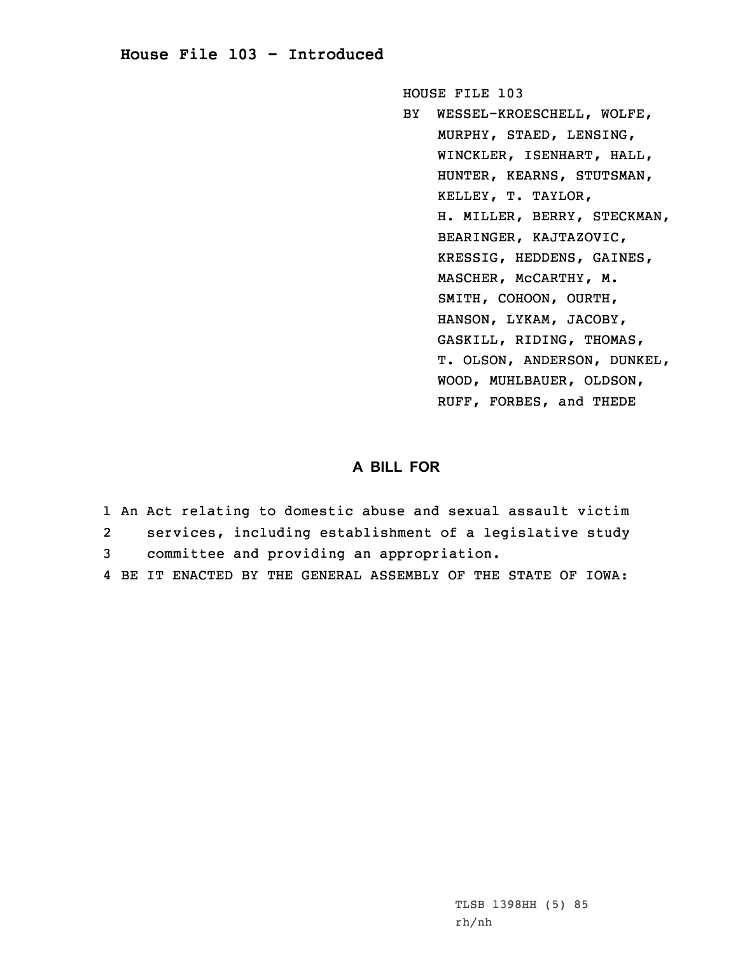## **House File 103 - Introduced**

HOUSE FILE 103

BY WESSEL-KROESCHELL, WOLFE, MURPHY, STAED, LENSING, WINCKLER, ISENHART, HALL, HUNTER, KEARNS, STUTSMAN, KELLEY, T. TAYLOR, H. MILLER, BERRY, STECKMAN, BEARINGER, KAJTAZOVIC, KRESSIG, HEDDENS, GAINES, MASCHER, McCARTHY, M. SMITH, COHOON, OURTH, HANSON, LYKAM, JACOBY, GASKILL, RIDING, THOMAS, T. OLSON, ANDERSON, DUNKEL, WOOD, MUHLBAUER, OLDSON, RUFF, FORBES, and THEDE

## **A BILL FOR**

- 1 An Act relating to domestic abuse and sexual assault victim 2 services, including establishment of <sup>a</sup> legislative study 3 committee and providing an appropriation.
- 4 BE IT ENACTED BY THE GENERAL ASSEMBLY OF THE STATE OF IOWA: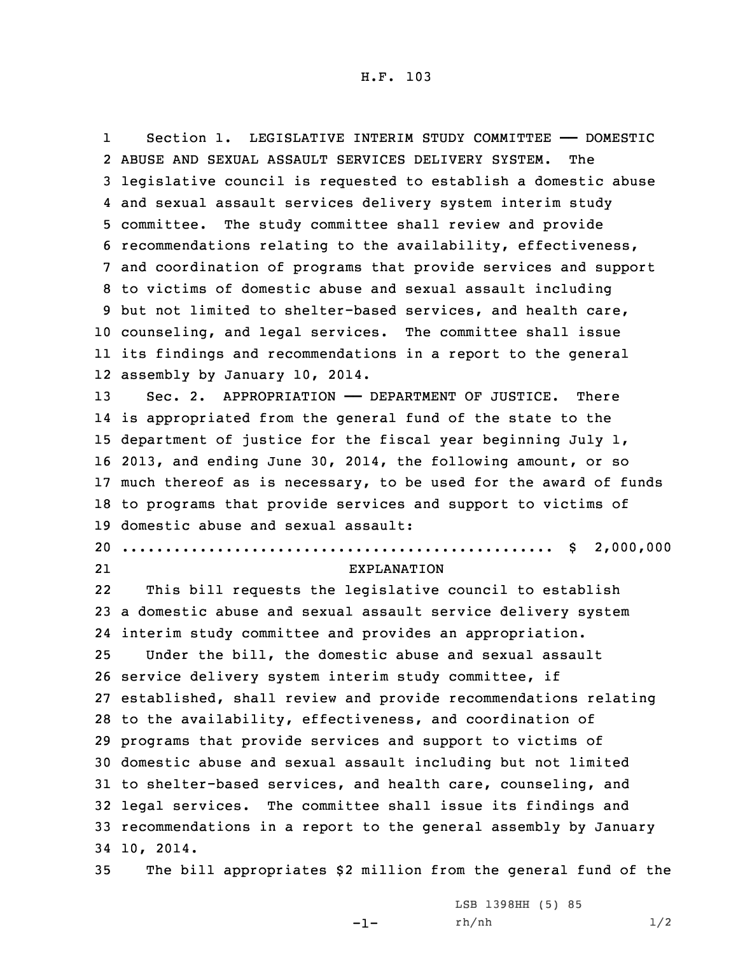1 Section 1. LEGISLATIVE INTERIM STUDY COMMITTEE —— DOMESTIC ABUSE AND SEXUAL ASSAULT SERVICES DELIVERY SYSTEM. The legislative council is requested to establish <sup>a</sup> domestic abuse and sexual assault services delivery system interim study committee. The study committee shall review and provide recommendations relating to the availability, effectiveness, and coordination of programs that provide services and support to victims of domestic abuse and sexual assault including but not limited to shelter-based services, and health care, counseling, and legal services. The committee shall issue its findings and recommendations in <sup>a</sup> report to the general assembly by January 10, 2014. Sec. 2. APPROPRIATION —— DEPARTMENT OF JUSTICE. There is appropriated from the general fund of the state to the department of justice for the fiscal year beginning July 1, 2013, and ending June 30, 2014, the following amount, or so much thereof as is necessary, to be used for the award of funds to programs that provide services and support to victims of domestic abuse and sexual assault: .................................................. \$ 2,000,000 21 EXPLANATION 22 This bill requests the legislative council to establish <sup>a</sup> domestic abuse and sexual assault service delivery system interim study committee and provides an appropriation. Under the bill, the domestic abuse and sexual assault service delivery system interim study committee, if established, shall review and provide recommendations relating to the availability, effectiveness, and coordination of programs that provide services and support to victims of domestic abuse and sexual assault including but not limited to shelter-based services, and health care, counseling, and legal services. The committee shall issue its findings and recommendations in <sup>a</sup> report to the general assembly by January 10, 2014.

35 The bill appropriates \$2 million from the general fund of the

 $-1-$ 

LSB 1398HH (5) 85 rh/nh 1/2